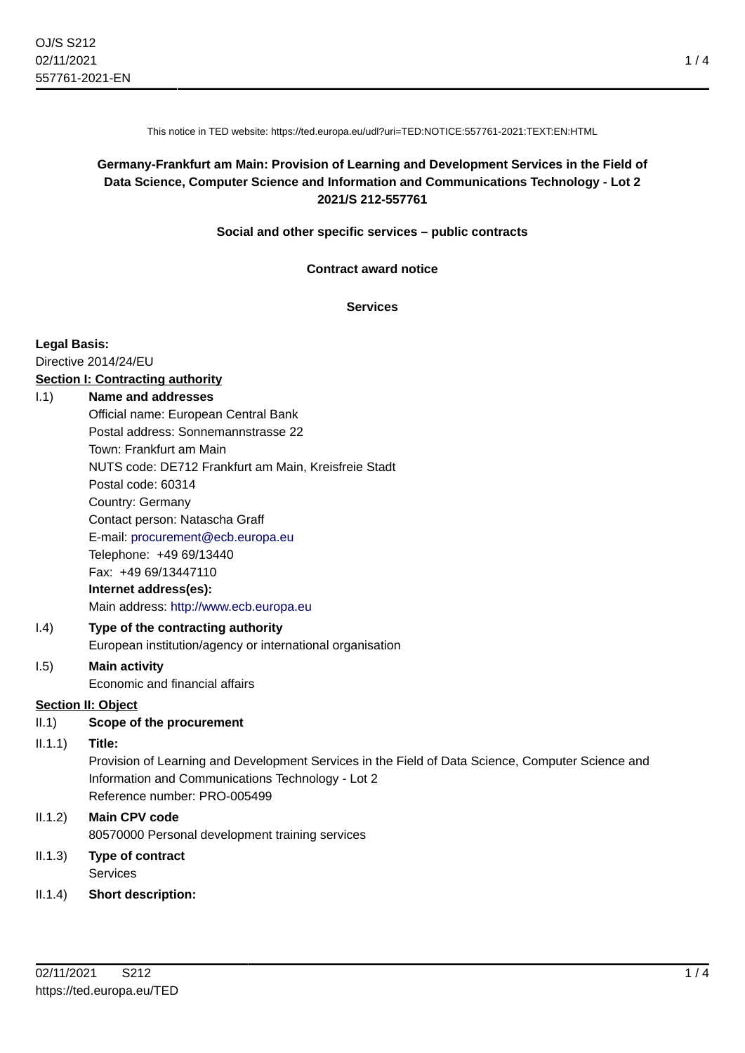This notice in TED website: https://ted.europa.eu/udl?uri=TED:NOTICE:557761-2021:TEXT:EN:HTML

# **Germany-Frankfurt am Main: Provision of Learning and Development Services in the Field of Data Science, Computer Science and Information and Communications Technology - Lot 2 2021/S 212-557761**

**Social and other specific services – public contracts**

**Contract award notice**

**Services**

#### **Legal Basis:**

Directive 2014/24/EU

# **Section I: Contracting authority**

## I.1) **Name and addresses**

Official name: European Central Bank Postal address: Sonnemannstrasse 22 Town: Frankfurt am Main NUTS code: DE712 Frankfurt am Main, Kreisfreie Stadt Postal code: 60314 Country: Germany Contact person: Natascha Graff E-mail: [procurement@ecb.europa.eu](mailto:procurement@ecb.europa.eu) Telephone: +49 69/13440 Fax: +49 69/13447110 **Internet address(es):** Main address:<http://www.ecb.europa.eu>

# I.4) **Type of the contracting authority** European institution/agency or international organisation

#### I.5) **Main activity** Economic and financial affairs

#### **Section II: Object**

II.1) **Scope of the procurement**

# II.1.1) **Title:**

Provision of Learning and Development Services in the Field of Data Science, Computer Science and Information and Communications Technology - Lot 2 Reference number: PRO-005499

# II.1.2) **Main CPV code** 80570000 Personal development training services

- II.1.3) **Type of contract Services**
- II.1.4) **Short description:**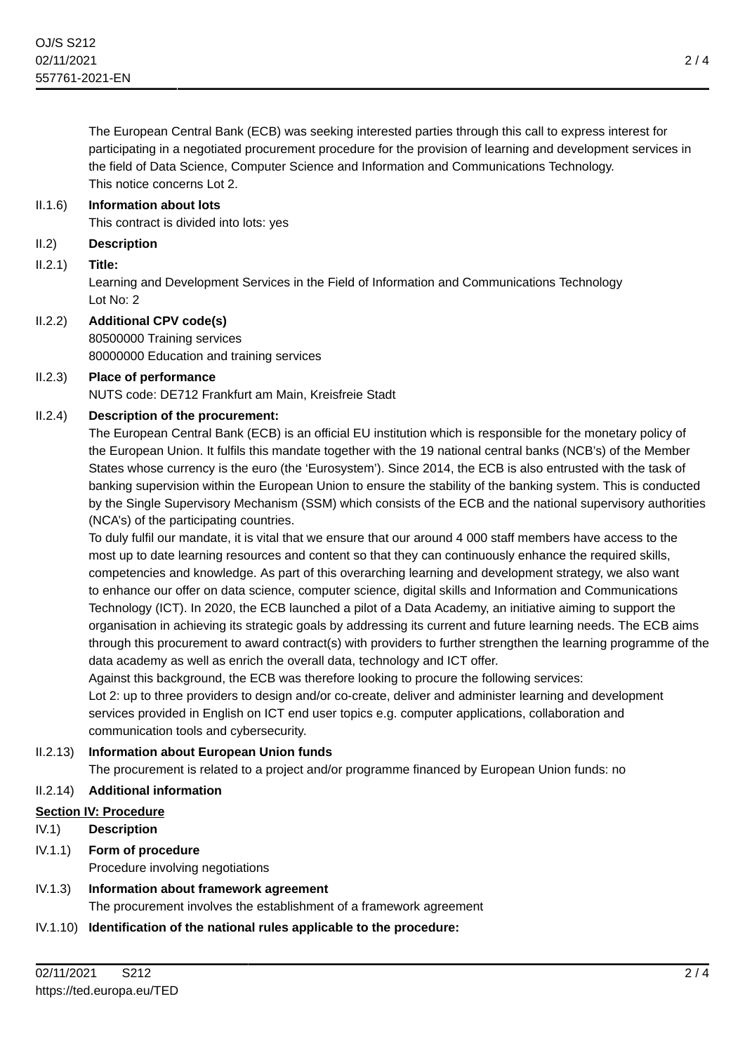The European Central Bank (ECB) was seeking interested parties through this call to express interest for participating in a negotiated procurement procedure for the provision of learning and development services in the field of Data Science, Computer Science and Information and Communications Technology. This notice concerns Lot 2.

## II.1.6) **Information about lots**

This contract is divided into lots: yes

- II.2) **Description**
- II.2.1) **Title:**

Learning and Development Services in the Field of Information and Communications Technology Lot No: 2

II.2.2) **Additional CPV code(s)** 80500000 Training services 80000000 Education and training services

# II.2.3) **Place of performance** NUTS code: DE712 Frankfurt am Main, Kreisfreie Stadt

# II.2.4) **Description of the procurement:**

The European Central Bank (ECB) is an official EU institution which is responsible for the monetary policy of the European Union. It fulfils this mandate together with the 19 national central banks (NCB's) of the Member States whose currency is the euro (the 'Eurosystem'). Since 2014, the ECB is also entrusted with the task of banking supervision within the European Union to ensure the stability of the banking system. This is conducted by the Single Supervisory Mechanism (SSM) which consists of the ECB and the national supervisory authorities (NCA's) of the participating countries.

To duly fulfil our mandate, it is vital that we ensure that our around 4 000 staff members have access to the most up to date learning resources and content so that they can continuously enhance the required skills, competencies and knowledge. As part of this overarching learning and development strategy, we also want to enhance our offer on data science, computer science, digital skills and Information and Communications Technology (ICT). In 2020, the ECB launched a pilot of a Data Academy, an initiative aiming to support the organisation in achieving its strategic goals by addressing its current and future learning needs. The ECB aims through this procurement to award contract(s) with providers to further strengthen the learning programme of the data academy as well as enrich the overall data, technology and ICT offer.

Against this background, the ECB was therefore looking to procure the following services: Lot 2: up to three providers to design and/or co-create, deliver and administer learning and development services provided in English on ICT end user topics e.g. computer applications, collaboration and communication tools and cybersecurity.

# II.2.13) **Information about European Union funds**

The procurement is related to a project and/or programme financed by European Union funds: no

# II.2.14) **Additional information**

# **Section IV: Procedure**

- IV.1) **Description**
- IV.1.1) **Form of procedure** Procedure involving negotiations

# IV.1.3) **Information about framework agreement** The procurement involves the establishment of a framework agreement

# IV.1.10) **Identification of the national rules applicable to the procedure:**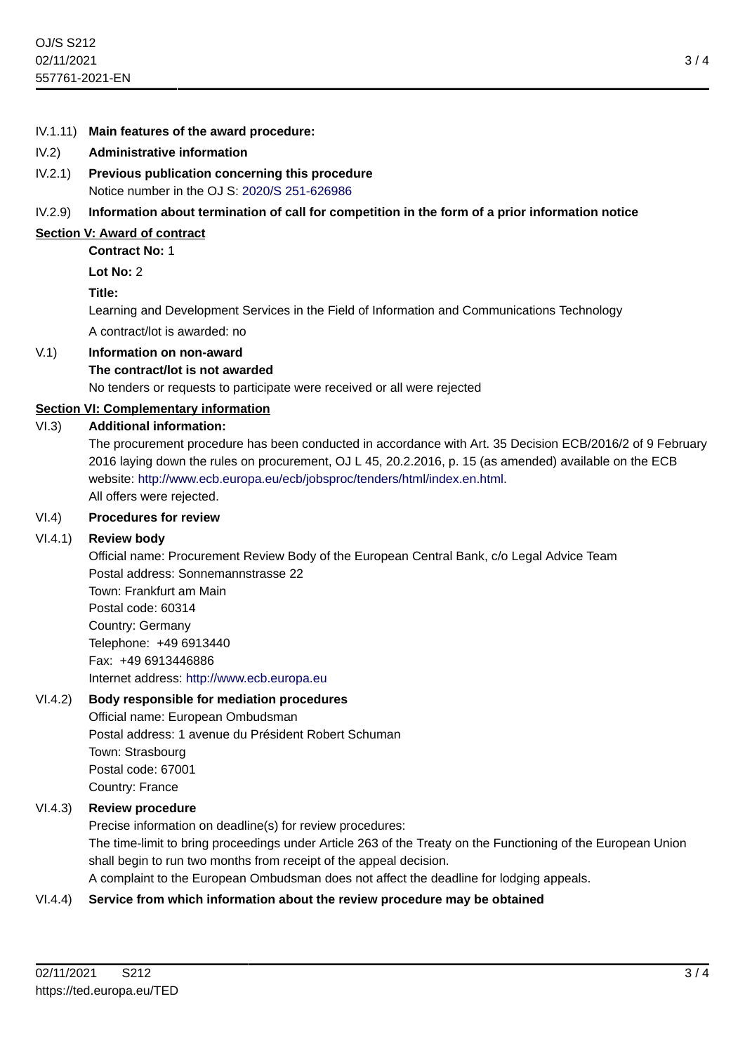#### IV.1.11) **Main features of the award procedure:**

#### IV.2) **Administrative information**

IV.2.1) **Previous publication concerning this procedure** Notice number in the OJ S: [2020/S 251-626986](https://ted.europa.eu/udl?uri=TED:NOTICE:626986-2020:TEXT:EN:HTML)

## IV.2.9) **Information about termination of call for competition in the form of a prior information notice**

#### **Section V: Award of contract**

**Contract No:** 1

**Lot No:** 2

#### **Title:**

Learning and Development Services in the Field of Information and Communications Technology A contract/lot is awarded: no

# V.1) **Information on non-award**

## **The contract/lot is not awarded**

No tenders or requests to participate were received or all were rejected

## **Section VI: Complementary information**

## VI.3) **Additional information:**

The procurement procedure has been conducted in accordance with Art. 35 Decision ECB/2016/2 of 9 February 2016 laying down the rules on procurement, OJ L 45, 20.2.2016, p. 15 (as amended) available on the ECB website:<http://www.ecb.europa.eu/ecb/jobsproc/tenders/html/index.en.html>. All offers were rejected.

#### VI.4) **Procedures for review**

#### VI.4.1) **Review body**

Official name: Procurement Review Body of the European Central Bank, c/o Legal Advice Team Postal address: Sonnemannstrasse 22 Town: Frankfurt am Main Postal code: 60314 Country: Germany Telephone: +49 6913440 Fax: +49 6913446886 Internet address: <http://www.ecb.europa.eu>

#### VI.4.2) **Body responsible for mediation procedures**

Official name: European Ombudsman Postal address: 1 avenue du Président Robert Schuman Town: Strasbourg Postal code: 67001 Country: France

#### VI.4.3) **Review procedure**

Precise information on deadline(s) for review procedures:

The time-limit to bring proceedings under Article 263 of the Treaty on the Functioning of the European Union shall begin to run two months from receipt of the appeal decision.

A complaint to the European Ombudsman does not affect the deadline for lodging appeals.

#### VI.4.4) **Service from which information about the review procedure may be obtained**